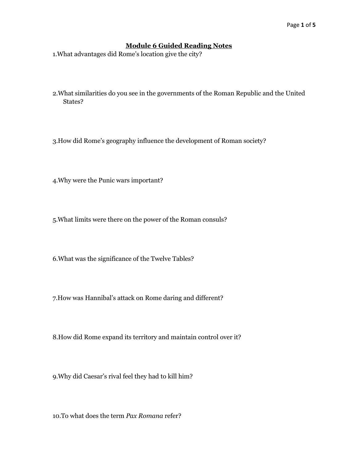## **Module 6 Guided Reading Notes**

1.What advantages did Rome's location give the city?

2.What similarities do you see in the governments of the Roman Republic and the United States?

3.How did Rome's geography influence the development of Roman society?

4.Why were the Punic wars important?

5.What limits were there on the power of the Roman consuls?

6.What was the significance of the Twelve Tables?

7.How was Hannibal's attack on Rome daring and different?

8.How did Rome expand its territory and maintain control over it?

9.Why did Caesar's rival feel they had to kill him?

10.To what does the term *Pax Romana* refer?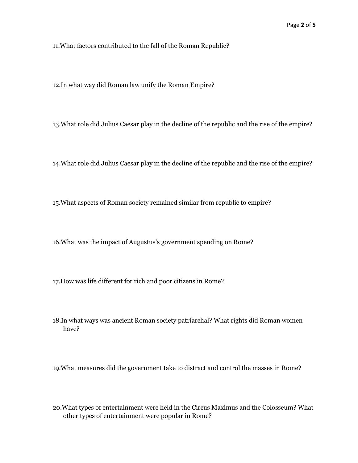11.What factors contributed to the fall of the Roman Republic?

12.In what way did Roman law unify the Roman Empire?

13.What role did Julius Caesar play in the decline of the republic and the rise of the empire?

14.What role did Julius Caesar play in the decline of the republic and the rise of the empire?

15.What aspects of Roman society remained similar from republic to empire?

16.What was the impact of Augustus's government spending on Rome?

17.How was life different for rich and poor citizens in Rome?

18.In what ways was ancient Roman society patriarchal? What rights did Roman women have?

19.What measures did the government take to distract and control the masses in Rome?

20.What types of entertainment were held in the Circus Maximus and the Colosseum? What other types of entertainment were popular in Rome?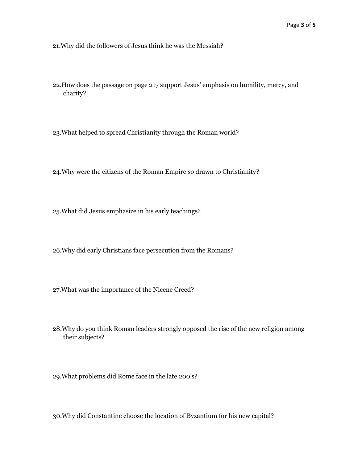21.Why did the followers of Jesus think he was the Messiah?

- 22.How does the passage on page 217 support Jesus' emphasis on humility, mercy, and charity?
- 23.What helped to spread Christianity through the Roman world?
- 24.Why were the citizens of the Roman Empire so drawn to Christianity?
- 25.What did Jesus emphasize in his early teachings?
- 26.Why did early Christians face persecution from the Romans?
- 27.What was the importance of the Nicene Creed?
- 28.Why do you think Roman leaders strongly opposed the rise of the new religion among their subjects?
- 29.What problems did Rome face in the late 200's?
- 30.Why did Constantine choose the location of Byzantium for his new capital?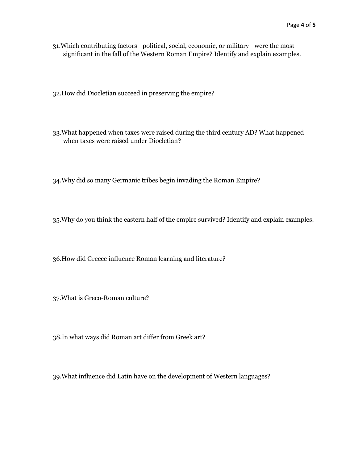31.Which contributing factors—political, social, economic, or military—were the most significant in the fall of the Western Roman Empire? Identify and explain examples.

32.How did Diocletian succeed in preserving the empire?

33.What happened when taxes were raised during the third century AD? What happened when taxes were raised under Diocletian?

34.Why did so many Germanic tribes begin invading the Roman Empire?

35.Why do you think the eastern half of the empire survived? Identify and explain examples.

36.How did Greece influence Roman learning and literature?

37.What is Greco-Roman culture?

38.In what ways did Roman art differ from Greek art?

39.What influence did Latin have on the development of Western languages?